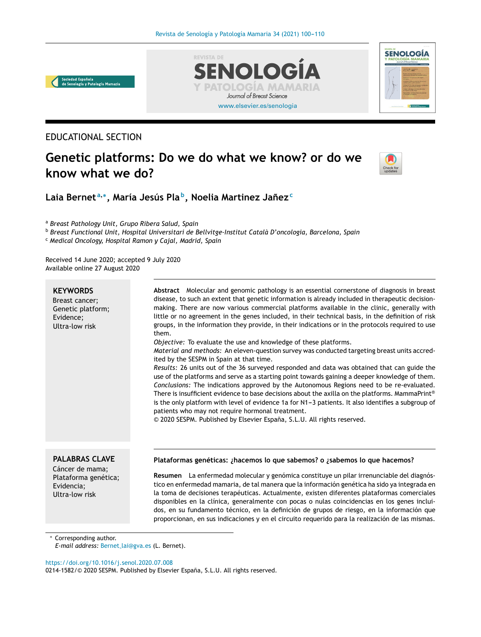[www.elsevier.es/senologia](http://www.elsevier.es/senologia)

**TOLOGIA MAMA** Journal of Breast Science

ENOLOG



## EDUCATIONAL SECTION

# **Genetic platforms: Do we do what we know? or do we know what we do?**

**REVISTA DE** 



**SENOLOGÍA** 

**Laia Bernet <sup>a</sup>**,<sup>∗</sup> **, María Jesús Pla <sup>b</sup> , Noelia Martinez Janez ˜ c**

<sup>a</sup> *Breast Pathology Unit, Grupo Ribera Salud, Spain*

<sup>b</sup> *Breast Functional Unit, Hospital Universitari de Bellvitge-Institut Català D'oncologia, Barcelona, Spain*

<sup>c</sup> *Medical Oncology, Hospital Ramon y Cajal, Madrid, Spain*

Received 14 June 2020; accepted 9 July 2020 Available online 27 August 2020

#### **KEYWORDS**

Breast cancer; Genetic platform; Evidence; Ultra-low risk

**Abstract** Molecular and genomic pathology is an essential cornerstone of diagnosis in breast disease, to such an extent that genetic information is already included in therapeutic decisionmaking. There are now various commercial platforms available in the clinic, generally with little or no agreement in the genes included, in their technical basis, in the definition of risk groups, in the information they provide, in their indications or in the protocols required to use them. *Objective:* To evaluate the use and knowledge of these platforms.

*Material and methods:* An eleven-question survey was conducted targeting breast units accredited by the SESPM in Spain at that time.

*Results:* 26 units out of the 36 surveyed responded and data was obtained that can guide the use of the platforms and serve as a starting point towards gaining a deeper knowledge of them. *Conclusions:* The indications approved by the Autonomous Regions need to be re-evaluated. There is insufficient evidence to base decisions about the axilla on the platforms. MammaPrint® is the only platform with level of evidence 1a for N1-3 patients. It also identifies a subgroup of patients who may not require hormonal treatment.

© 2020 SESPM. Published by Elsevier España, S.L.U. All rights reserved.

## **PALABRAS CLAVE**

Cáncer de mama; Plataforma genética; Evidencia; Ultra-low risk

#### **Plataformas genéticas: ¿hacemos lo que sabemos? o ¿sabemos lo que hacemos?**

**Resumen** La enfermedad molecular y genómica constituye un pilar irrenunciable del diagnóstico en enfermedad mamaria, de tal manera que la información genética ha sido ya integrada en la toma de decisiones terapéuticas. Actualmente, existen diferentes plataformas comerciales disponibles en la clínica, generalmente con pocas o nulas coincidencias en los genes incluidos, en su fundamento técnico, en la definición de grupos de riesgo, en la información que proporcionan, en sus indicaciones y en el circuito requerido para la realización de las mismas.

Corresponding author.

*E-mail address:* Bernet [lai@gva.es](mailto:Bernet_lai@gva.es) (L. Bernet).

<https://doi.org/10.1016/j.senol.2020.07.008>

0214-1582/© 2020 SESPM. Published by Elsevier España, S.L.U. All rights reserved.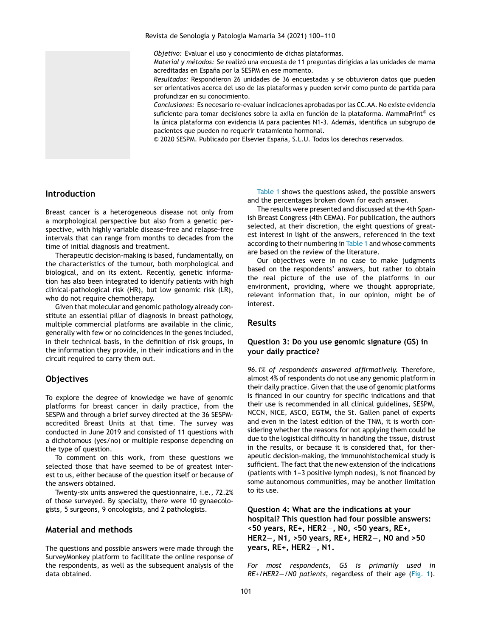*Objetivo:* Evaluar el uso y conocimiento de dichas plataformas.

*Material y métodos:* Se realizó una encuesta de 11 preguntas dirigidas a las unidades de mama acreditadas en España por la SESPM en ese momento.

*Resultados:* Respondieron 26 unidades de 36 encuestadas y se obtuvieron datos que pueden ser orientativos acerca del uso de las plataformas y pueden servir como punto de partida para profundizar en su conocimiento.

*Conclusiones:* Es necesario re-evaluar indicaciones aprobadas por las CC.AA. No existe evidencia suficiente para tomar decisiones sobre la axila en función de la plataforma. MammaPrint<sup>®</sup> es la única plataforma con evidencia IA para pacientes N1-3. Además, identifica un subgrupo de pacientes que pueden no requerir tratamiento hormonal.

© 2020 SESPM. Publicado por Elsevier España, S.L.U. Todos los derechos reservados.

#### **Introduction**

Breast cancer is a heterogeneous disease not only from a morphological perspective but also from a genetic perspective, with highly variable disease-free and relapse-free intervals that can range from months to decades from the time of initial diagnosis and treatment.

Therapeutic decision-making is based, fundamentally, on the characteristics of the tumour, both morphological and biological, and on its extent. Recently, genetic information has also been integrated to identify patients with high clinical-pathological risk (HR), but low genomic risk (LR), who do not require chemotherapy.

Given that molecular and genomic pathology already constitute an essential pillar of diagnosis in breast pathology, multiple commercial platforms are available in the clinic, generally with few or no coincidences in the genes included, in their technical basis, in the definition of risk groups, in the information they provide, in their indications and in the circuit required to carry them out.

## **Objectives**

To explore the degree of knowledge we have of genomic platforms for breast cancer in daily practice, from the SESPM and through a brief survey directed at the 36 SESPMaccredited Breast Units at that time. The survey was conducted in June 2019 and consisted of 11 questions with a dichotomous (yes/no) or multiple response depending on the type of question.

To comment on this work, from these questions we selected those that have seemed to be of greatest interest to us, either because of the question itself or because of the answers obtained.

Twenty-six units answered the questionnaire, i.e., 72.2% of those surveyed. By specialty, there were 10 gynaecologists, 5 surgeons, 9 oncologists, and 2 pathologists.

## **Material and methods**

The questions and possible answers were made through the SurveyMonkey platform to facilitate the online response of the respondents, as well as the subsequent analysis of the data obtained.

[Table](#page-2-0) 1 shows the questions asked, the possible answers and the percentages broken down for each answer.

The results were presented and discussed at the 4th Spanish Breast Congress (4th CEMA). For publication, the authors selected, at their discretion, the eight questions of greatest interest in light of the answers, referenced in the text according to their numbering in [Table](#page-2-0) 1 and whose comments are based on the review of the literature.

Our objectives were in no case to make judgments based on the respondents' answers, but rather to obtain the real picture of the use of the platforms in our environment, providing, where we thought appropriate, relevant information that, in our opinion, might be of interest.

## **Results**

## **Question 3: Do you use genomic signature (GS) in your daily practice?**

*96.1% of respondents answered affirmatively.* Therefore, almost 4% of respondents do not use any genomic platform in their daily practice. Given that the use of genomic platforms is financed in our country for specific indications and that their use is recommended in all clinical guidelines, SESPM, NCCN, NICE, ASCO, EGTM, the St. Gallen panel of experts and even in the latest edition of the TNM, it is worth considering whether the reasons for not applying them could be due to the logistical difficulty in handling the tissue, distrust in the results, or because it is considered that, for therapeutic decision-making, the immunohistochemical study is sufficient. The fact that the new extension of the indications (patients with  $1-3$  positive lymph nodes), is not financed by some autonomous communities, may be another limitation to its use.

**Question 4: What are the indications at your hospital? This question had four possible answers: <50 years, RE+, HER2**−**, N0, <50 years, RE+, HER2**−**, N1, >50 years, RE+, HER2**−**, N0 and >50 years, RE+, HER2**−**, N1.**

*For most respondents, GS is primarily used in RE+/HER2*−*/N0 patients*, regardless of their age [\(Fig.](#page-3-0) 1).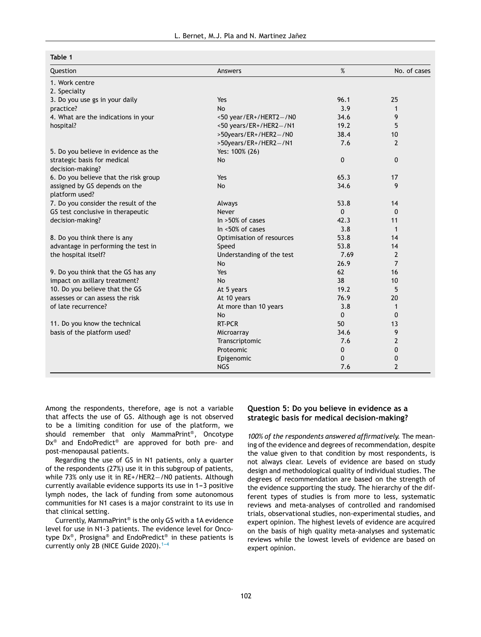## <span id="page-2-0"></span>**Table 1**

| Question                              | Answers                   | %        | No. of cases   |
|---------------------------------------|---------------------------|----------|----------------|
| 1. Work centre                        |                           |          |                |
| 2. Specialty                          |                           |          |                |
| 3. Do you use gs in your daily        | Yes                       | 96.1     | 25             |
| practice?                             | N <sub>0</sub>            | 3.9      | 1              |
| 4. What are the indications in your   | $<$ 50 year/ER+/HERT2-/N0 | 34.6     | 9              |
| hospital?                             | <50 years/ER+/HER2-/N1    | 19.2     | 5              |
|                                       | >50years/ER+/HER2-/N0     | 38.4     | 10             |
|                                       | >50years/ER+/HER2-/N1     | 7.6      | 2              |
| 5. Do you believe in evidence as the  | Yes: 100% (26)            |          |                |
| strategic basis for medical           | <b>No</b>                 | 0        | $\mathbf{0}$   |
| decision-making?                      |                           |          |                |
| 6. Do you believe that the risk group | Yes                       | 65.3     | 17             |
| assigned by GS depends on the         | No                        | 34.6     | 9              |
| platform used?                        |                           |          |                |
| 7. Do you consider the result of the  | Always                    | 53.8     | 14             |
| GS test conclusive in therapeutic     | Never                     | 0        | $\Omega$       |
| decision-making?                      | In $>50\%$ of cases       | 42.3     | 11             |
|                                       | In <50% of cases          | 3.8      | $\mathbf{1}$   |
| 8. Do you think there is any          | Optimisation of resources | 53.8     | 14             |
| advantage in performing the test in   | Speed                     | 53.8     | 14             |
| the hospital itself?                  | Understanding of the test | 7.69     | $\overline{2}$ |
|                                       | <b>No</b>                 | 26.9     | $\overline{7}$ |
| 9. Do you think that the GS has any   | Yes                       | 62       | 16             |
| impact on axillary treatment?         | <b>No</b>                 | 38       | 10             |
| 10. Do you believe that the GS        | At 5 years                | 19.2     | 5              |
| assesses or can assess the risk       | At 10 years               | 76.9     | 20             |
| of late recurrence?                   | At more than 10 years     | 3.8      | 1              |
|                                       | <b>No</b>                 | $\Omega$ | $\Omega$       |
| 11. Do you know the technical         | RT-PCR                    | 50       | 13             |
| basis of the platform used?           | Microarray                | 34.6     | 9              |
|                                       | Transcriptomic            | 7.6      | $\overline{2}$ |
|                                       | Proteomic                 | 0        | 0              |
|                                       | Epigenomic                | $\Omega$ | 0              |
|                                       | <b>NGS</b>                | 7.6      | 2              |

Among the respondents, therefore, age is not a variable that affects the use of GS. Although age is not observed to be a limiting condition for use of the platform, we should remember that only MammaPrint® , Oncotype Dx<sup>®</sup> and EndoPredict<sup>®</sup> are approved for both pre- and post-menopausal patients.

Regarding the use of GS in N1 patients, only a quarter of the respondents (27%) use it in this subgroup of patients, while 73% only use it in RE+/HER2-/N0 patients. Although currently available evidence supports its use in 1-3 positive lymph nodes, the lack of funding from some autonomous communities for N1 cases is a major constraint to its use in that clinical setting.

Currently, MammaPrint® is the only GS with a 1A evidence level for use in N1-3 patients. The evidence level for Oncotype Dx® , Prosigna® and EndoPredict® in these patients is currently only 2B (NICE Guide 2020). $1-4$ 

## **Question 5: Do you believe in evidence as a strategic basis for medical decision-making?**

*100% of the respondents answered affirmatively.* The meaning of the evidence and degrees of recommendation, despite the value given to that condition by most respondents, is not always clear. Levels of evidence are based on study design and methodological quality of individual studies. The degrees of recommendation are based on the strength of the evidence supporting the study. The hierarchy of the different types of studies is from more to less, systematic reviews and meta-analyses of controlled and randomised trials, observational studies, non-experimental studies, and expert opinion. The highest levels of evidence are acquired on the basis of high quality meta-analyses and systematic reviews while the lowest levels of evidence are based on expert opinion.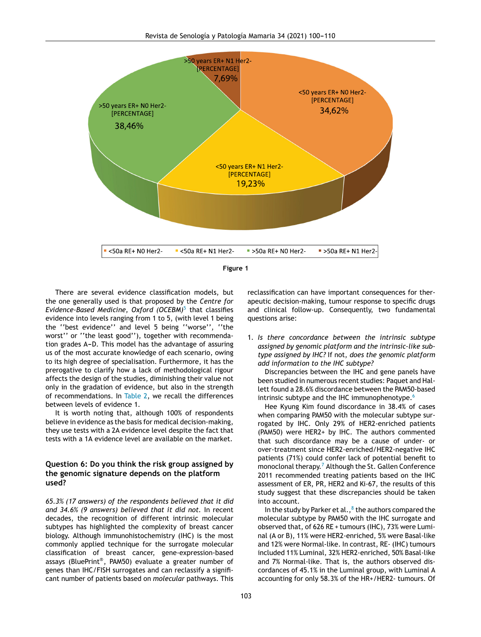<span id="page-3-0"></span>



There are several evidence classification models, but the one generally used is that proposed by the *Centre for Evidence-Based Medicine, Oxford (OCEBM)*[5](#page-9-0) that classifies evidence into levels ranging from 1 to 5, (with level 1 being the ''best evidence'' and level 5 being ''worse'', ''the worst'' or ''the least good''), together with recommendation grades A-D. This model has the advantage of assuring us of the most accurate knowledge of each scenario, owing to its high degree of specialisation. Furthermore, it has the prerogative to clarify how a lack of methodological rigour affects the design of the studies, diminishing their value not only in the gradation of evidence, but also in the strength of recommendations. In [Table](#page-4-0) 2, we recall the differences between levels of evidence 1.

It is worth noting that, although 100% of respondents believe in evidence as the basis for medical decision-making, they use tests with a 2A evidence level despite the fact that tests with a 1A evidence level are available on the market.

## **Question 6: Do you think the risk group assigned by the genomic signature depends on the platform used?**

*65.3% (17 answers) of the respondents believed that it did and 34.6% (9 answers) believed that it did not.* In recent decades, the recognition of different intrinsic molecular subtypes has highlighted the complexity of breast cancer biology. Although immunohistochemistry (IHC) is the most commonly applied technique for the surrogate molecular classification of breast cancer, gene-expression-based assays (BluePrint® , PAM50) evaluate a greater number of genes than IHC/FISH surrogates and can reclassify a significant number of patients based on *molecular* pathways. This

reclassification can have important consequences for therapeutic decision-making, tumour response to specific drugs and clinical follow-up. Consequently, two fundamental questions arise:

1. *Is there concordance between the intrinsic subtype assigned by genomic platform and the intrinsic-like subtype assigned by IHC?* If not, *does the genomic platform add information to the IHC subtype?*

Discrepancies between the IHC and gene panels have been studied in numerous recent studies: Paquet and Hallett found a 28.6% discordance between the PAM50-based intrinsic subtype and the IHC immunophenotype.<sup>[6](#page-9-0)</sup>

Hee Kyung Kim found discordance in 38.4% of cases when comparing PAM50 with the molecular subtype surrogated by IHC. Only 29% of HER2-enriched patients (PAM50) were HER2+ by IHC. The authors commented that such discordance may be a cause of under- or over-treatment since HER2-enriched/HER2-negative IHC patients (71%) could confer lack of potential benefit to monoclonal therapy.<sup>7</sup> [A](#page-9-0)lthough the St. Gallen Conference 2011 recommended treating patients based on the IHC assessment of ER, PR, HER2 and Ki-67, the results of this study suggest that these discrepancies should be taken into account.

In [t](#page-9-0)he study by Parker et al., $^8$  the authors compared the molecular subtype by PAM50 with the IHC surrogate and observed that, of 626 RE + tumours (IHC), 73% were Luminal (A or B), 11% were HER2-enriched, 5% were Basal-like and 12% were Normal-like. In contrast, RE- (IHC) tumours included 11% Luminal, 32% HER2-enriched, 50% Basal-like and 7% Normal-like. That is, the authors observed discordances of 45.1% in the Luminal group, with Luminal A accounting for only 58.3% of the HR+/HER2- tumours. Of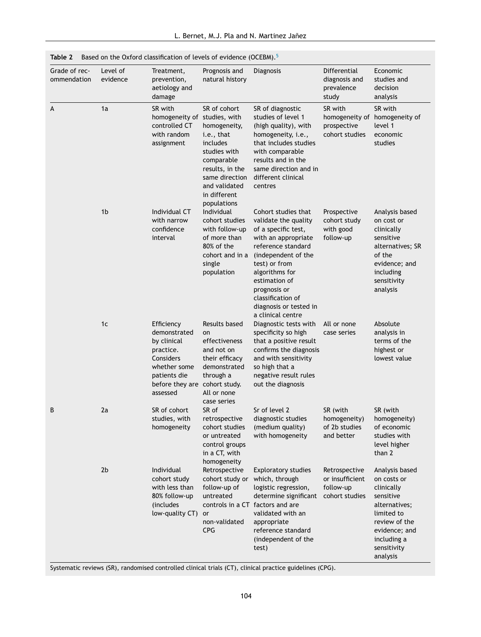<span id="page-4-0"></span>

|  |  | Table 2 Based on the Oxford classification of levels of evidence (OCEBM). <sup>5</sup> |  |  |
|--|--|----------------------------------------------------------------------------------------|--|--|
|--|--|----------------------------------------------------------------------------------------|--|--|

| Grade of rec-<br>ommendation | Level of<br>evidence | Treatment,<br>prevention,<br>aetiology and<br>damage                                                                                             | Prognosis and<br>natural history                                                                                                                                          | Diagnosis                                                                                                                                                                                                                                                                      | Differential<br>diagnosis and<br>prevalence<br>study            | Economic<br>studies and<br>decision<br>analysis                                                                                                                     |
|------------------------------|----------------------|--------------------------------------------------------------------------------------------------------------------------------------------------|---------------------------------------------------------------------------------------------------------------------------------------------------------------------------|--------------------------------------------------------------------------------------------------------------------------------------------------------------------------------------------------------------------------------------------------------------------------------|-----------------------------------------------------------------|---------------------------------------------------------------------------------------------------------------------------------------------------------------------|
| A                            | 1a                   | SR with<br>homogeneity of studies, with<br>controlled CT<br>with random<br>assignment                                                            | SR of cohort<br>homogeneity,<br>i.e., that<br>includes<br>studies with<br>comparable<br>results, in the<br>same direction<br>and validated<br>in different<br>populations | SR of diagnostic<br>studies of level 1<br>(high quality), with<br>homogeneity, i.e.,<br>that includes studies<br>with comparable<br>results and in the<br>same direction and in<br>different clinical<br>centres                                                               | SR with<br>prospective<br>cohort studies                        | SR with<br>homogeneity of homogeneity of<br>level 1<br>economic<br>studies                                                                                          |
|                              | 1 <sub>b</sub>       | Individual CT<br>with narrow<br>confidence<br>interval                                                                                           | Individual<br>cohort studies<br>with follow-up<br>of more than<br>80% of the<br>cohort and in a<br>single<br>population                                                   | Cohort studies that<br>validate the quality<br>of a specific test,<br>with an appropriate<br>reference standard<br>(independent of the<br>test) or from<br>algorithms for<br>estimation of<br>prognosis or<br>classification of<br>diagnosis or tested in<br>a clinical centre | Prospective<br>cohort study<br>with good<br>follow-up           | Analysis based<br>on cost or<br>clinically<br>sensitive<br>alternatives; SR<br>of the<br>evidence; and<br>including<br>sensitivity<br>analysis                      |
|                              | 1c                   | Efficiency<br>demonstrated<br>by clinical<br>practice.<br>Considers<br>whether some<br>patients die<br>before they are cohort study.<br>assessed | Results based<br>on<br>effectiveness<br>and not on<br>their efficacy<br>demonstrated<br>through a<br>All or none<br>case series                                           | Diagnostic tests with<br>specificity so high<br>that a positive result<br>confirms the diagnosis<br>and with sensitivity<br>so high that a<br>negative result rules<br>out the diagnosis                                                                                       | All or none<br>case series                                      | Absolute<br>analysis in<br>terms of the<br>highest or<br>lowest value                                                                                               |
| B                            | 2a                   | SR of cohort<br>studies, with<br>homogeneity                                                                                                     | SR of<br>retrospective<br>cohort studies<br>or untreated<br>control groups<br>in a CT, with<br>homogeneity                                                                | Sr of level 2<br>diagnostic studies<br>(medium quality)<br>with homogeneity                                                                                                                                                                                                    | SR (with<br>homogeneity)<br>of 2b studies<br>and better         | SR (with<br>homogeneity)<br>of economic<br>studies with<br>level higher<br>than 2                                                                                   |
|                              | 2 <sub>b</sub>       | Individual<br>cohort study<br>with less than<br>80% follow-up<br>(includes<br>low-quality CT)                                                    | Retrospective<br>cohort study or<br>follow-up of<br>untreated<br>or<br>non-validated<br><b>CPG</b>                                                                        | <b>Exploratory studies</b><br>which, through<br>logistic regression,<br>determine significant<br>controls in a CT factors and are<br>validated with an<br>appropriate<br>reference standard<br>(independent of the<br>test)                                                    | Retrospective<br>or insufficient<br>follow-up<br>cohort studies | Analysis based<br>on costs or<br>clinically<br>sensitive<br>alternatives;<br>limited to<br>review of the<br>evidence; and<br>including a<br>sensitivity<br>analysis |

Systematic reviews (SR), randomised controlled clinical trials (CT), clinical practice guidelines (CPG).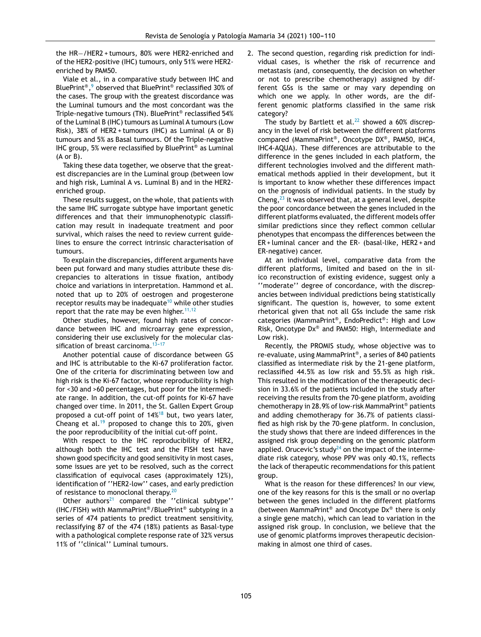the HR−/HER2 + tumours, 80% were HER2-enriched and of the HER2-positive (IHC) tumours, only 51% were HER2 enriched by PAM50.

Viale et al., in a comparative study between IHC and BluePrint®,<sup>9</sup> [o](#page-9-0)bserved that BluePrint® reclassified 30% of the cases. The group with the greatest discordance was the Luminal tumours and the most concordant was the Triple-negative tumours (TN). BluePrint® reclassified 54% of the Luminal B (IHC) tumours as Luminal A tumours (Low Risk), 38% of HER2 + tumours (IHC) as Luminal (A or B) tumours and 5% as Basal tumours. Of the Triple-negative IHC group, 5% were reclassified by BluePrint® as Luminal (A or B).

Taking these data together, we observe that the greatest discrepancies are in the Luminal group (between low and high risk, Luminal A vs. Luminal B) and in the HER2 enriched group.

These results suggest, on the whole, that patients with the same IHC surrogate subtype have important genetic differences and that their immunophenotypic classification may result in inadequate treatment and poor survival, which raises the need to review current guidelines to ensure the correct intrinsic characterisation of tumours.

To explain the discrepancies, different arguments have been put forward and many studies attribute these discrepancies to alterations in tissue fixation, antibody choice and variations in interpretation. Hammond et al. noted that up to 20% of oestrogen and progesterone receptor results may be inadequate<sup>[10](#page-9-0)</sup> while other studies report that the rate may be even higher.  $11,12$ 

Other studies, however, found high rates of concordance between IHC and microarray gene expression, considering their use exclusively for the molecular classification of breast carcinoma. $13-17$ 

Another potential cause of discordance between GS and IHC is attributable to the Ki-67 proliferation factor. One of the criteria for discriminating between low and high risk is the Ki-67 factor, whose reproducibility is high for <30 and >60 percentages, but poor for the intermediate range. In addition, the cut-off points for Ki-67 have changed over time. In 2011, the St. Gallen Expert Group proposed a cut-off point of  $14\%^{18}$  $14\%^{18}$  $14\%^{18}$  but, two years later, Cheang et al.<sup>[19](#page-9-0)</sup> proposed to change this to 20%, given the poor reproducibility of the initial cut-off point.

With respect to the IHC reproducibility of HER2, although both the IHC test and the FISH test have shown good specificity and good sensitivity in most cases, some issues are yet to be resolved, such as the correct classification of equivocal cases (approximately 12%), identification of ''HER2-low'' cases, and early prediction of resistance to monoclonal therapy.<sup>[20](#page-9-0)</sup>

Other authors<sup>[21](#page-9-0)</sup> compared the "clinical subtype" (IHC/FISH) with MammaPrint®/BluePrint® subtyping in a series of 474 patients to predict treatment sensitivity, reclassifying 87 of the 474 (18%) patients as Basal-type with a pathological complete response rate of 32% versus 11% of ''clinical'' Luminal tumours.

2. The second question, regarding risk prediction for individual cases, is whether the risk of recurrence and metastasis (and, consequently, the decision on whether or not to prescribe chemotherapy) assigned by different GSs is the same or may vary depending on which one we apply. In other words, are the different genomic platforms classified in the same risk category?

The study by Bartlett et al.<sup>[22](#page-9-0)</sup> showed a 60% discrepancy in the level of risk between the different platforms compared (MammaPrint® , Oncotype DX® , PAM50, IHC4, IHC4-AQUA). These differences are attributable to the difference in the genes included in each platform, the different technologies involved and the different mathematical methods applied in their development, but it is important to know whether these differences impact on the prognosis of individual patients. In the study by Cheng, $^{23}$  $^{23}$  $^{23}$  it was observed that, at a general level, despite the poor concordance between the genes included in the different platforms evaluated, the different models offer similar predictions since they reflect common cellular phenotypes that encompass the differences between the ER + luminal cancer and the ER- (basal-like, HER2 + and ER-negative) cancer.

At an individual level, comparative data from the different platforms, limited and based on the in silico reconstruction of existing evidence, suggest only a ''moderate'' degree of concordance, with the discrepancies between individual predictions being statistically significant. The question is, however, to some extent rhetorical given that not all GSs include the same risk categories (MammaPrint® , EndoPredict® : High and Low Risk, Oncotype Dx® and PAM50: High, Intermediate and Low risk).

Recently, the PROMIS study, whose objective was to re-evaluate, using MammaPrint® , a series of 840 patients classified as intermediate risk by the 21-gene platform, reclassified 44.5% as low risk and 55.5% as high risk. This resulted in the modification of the therapeutic decision in 33.6% of the patients included in the study after receiving the results from the 70-gene platform, avoiding chemotherapy in 28.9% of low-risk MammaPrint® patients and adding chemotherapy for 36.7% of patients classified as high risk by the 70-gene platform. In conclusion, the study shows that there are indeed differences in the assigned risk group depending on the genomic platform applied. Orucevic's study<sup>[24](#page-10-0)</sup> on the impact of the intermediate risk category, whose PPV was only 40.1%, reflects the lack of therapeutic recommendations for this patient group.

What is the reason for these differences? In our view, one of the key reasons for this is the small or no overlap between the genes included in the different platforms (between MammaPrint® and Oncotype Dx® there is only a single gene match), which can lead to variation in the assigned risk group. In conclusion, we believe that the use of genomic platforms improves therapeutic decisionmaking in almost one third of cases.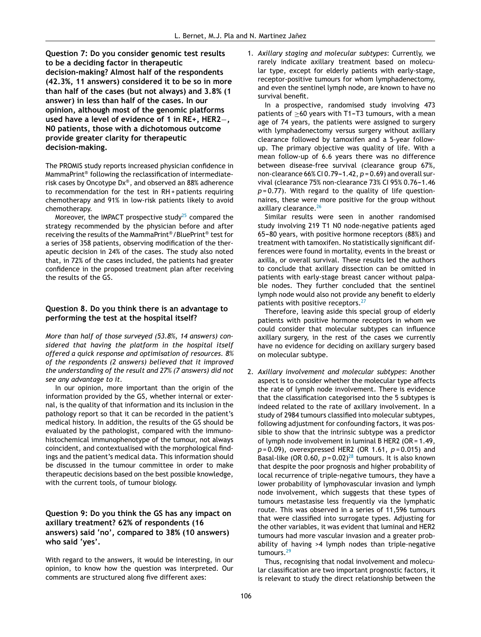**Question 7: Do you consider genomic test results to be a deciding factor in therapeutic decision-making? Almost half of the respondents (42.3%, 11 answers) considered it to be so in more than half of the cases (but not always) and 3.8% (1 answer) in less than half of the cases. In our opinion, although most of the genomic platforms used have a level of evidence of 1 in RE+, HER2**−**, N0 patients, those with a dichotomous outcome provide greater clarity for therapeutic decision-making.**

The PROMIS study reports increased physician confidence in MammaPrint® following the reclassification of intermediaterisk cases by Oncotype Dx® , and observed an 88% adherence to recommendation for the test in RH + patients requiring chemotherapy and 91% in low-risk patients likely to avoid chemotherapy.

Moreover, the IMPACT prospective study<sup>[25](#page-10-0)</sup> compared the strategy recommended by the physician before and after receiving the results of the MammaPrint®/BluePrint® test for a series of 358 patients, observing modification of the therapeutic decision in 24% of the cases. The study also noted that, in 72% of the cases included, the patients had greater confidence in the proposed treatment plan after receiving the results of the GS.

## **Question 8. Do you think there is an advantage to performing the test at the hospital itself?**

*More than half of those surveyed (53.8%, 14 answers) considered that having the platform in the hospital itself offered a quick response and optimisation of resources. 8% of the respondents (2 answers) believed that it improved the understanding of the result and 27% (7 answers) did not see any advantage to it.*

In our opinion, more important than the origin of the information provided by the GS, whether internal or external, is the quality of that information and its inclusion in the pathology report so that it can be recorded in the patient's medical history. In addition, the results of the GS should be evaluated by the pathologist, compared with the immunohistochemical immunophenotype of the tumour, not always coincident, and contextualised with the morphological findings and the patient's medical data. This information should be discussed in the tumour committee in order to make therapeutic decisions based on the best possible knowledge, with the current tools, of tumour biology.

## **Question 9: Do you think the GS has any impact on axillary treatment? 62% of respondents (16 answers) said 'no', compared to 38% (10 answers) who said 'yes'.**

With regard to the answers, it would be interesting, in our opinion, to know how the question was interpreted. Our comments are structured along five different axes:

1. *Axillary staging and molecular subtypes*: Currently, we rarely indicate axillary treatment based on molecular type, except for elderly patients with early-stage, receptor-positive tumours for whom lymphadenectomy, and even the sentinel lymph node, are known to have no survival benefit.

In a prospective, randomised study involving 473 patients of  $>60$  years with T1-T3 tumours, with a mean age of 74 years, the patients were assigned to surgery with lymphadenectomy versus surgery without axillary clearance followed by tamoxifen and a 5-year followup. The primary objective was quality of life. With a mean follow-up of 6.6 years there was no difference between disease-free survival (clearance group 67%, non-clearance 66% CI 0.79-1.42,  $p = 0.69$ ) and overall survival (clearance 75% non-clearance 73% CI 95% 0.76-1.46 *p* = 0.77). With regard to the quality of life questionnaires, these were more positive for the group without axillary clearance.<sup>[26](#page-10-0)</sup>

Similar results were seen in another randomised study involving 219 T1 N0 node-negative patients aged 65-80 years, with positive hormone receptors (88%) and treatment with tamoxifen. No statistically significant differences were found in mortality, events in the breast or axilla, or overall survival. These results led the authors to conclude that axillary dissection can be omitted in patients with early-stage breast cancer without palpable nodes. They further concluded that the sentinel lymph node would also not provide any benefit to elderly patients with positive receptors.<sup>[27](#page-10-0)</sup>

Therefore, leaving aside this special group of elderly patients with positive hormone receptors in whom we could consider that molecular subtypes can influence axillary surgery, in the rest of the cases we currently have no evidence for deciding on axillary surgery based on molecular subtype.

2. *Axillary involvement and molecular subtypes*: Another aspect is to consider whether the molecular type affects the rate of lymph node involvement. There is evidence that the classification categorised into the 5 subtypes is indeed related to the rate of axillary involvement. In a study of 2984 tumours classified into molecular subtypes, following adjustment for confounding factors, it was possible to show that the intrinsic subtype was a predictor of lymph node involvement in luminal B HER2 (OR = 1.49, *p* = 0.09), overexpressed HER2 (OR 1.61, *p* = 0.015) and Basal-like (OR 0.60,  $p = 0.02$ )<sup>[28](#page-10-0)</sup> tumours. It is also known that despite the poor prognosis and higher probability of local recurrence of triple-negative tumours, they have a lower probability of lymphovascular invasion and lymph node involvement, which suggests that these types of tumours metastasise less frequently via the lymphatic route. This was observed in a series of 11,596 tumours that were classified into surrogate types. Adjusting for the other variables, it was evident that luminal and HER2 tumours had more vascular invasion and a greater probability of having >4 lymph nodes than triple-negative tumours.<sup>[29](#page-10-0)</sup>

Thus, recognising that nodal involvement and molecular classification are two important prognostic factors, it is relevant to study the direct relationship between the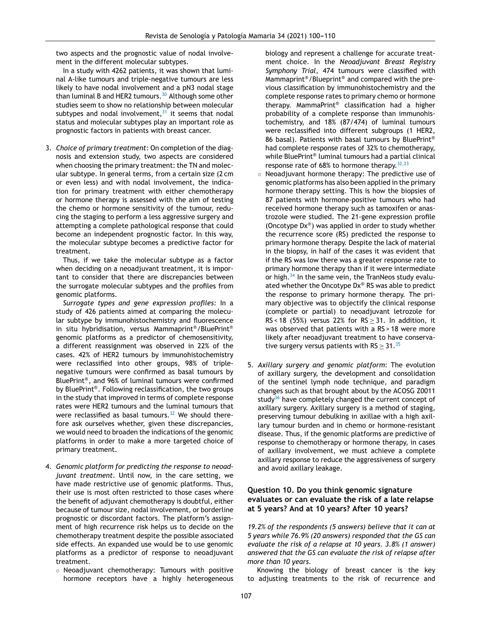two aspects and the prognostic value of nodal involvement in the different molecular subtypes.

In a study with 4262 patients, it was shown that luminal A-like tumours and triple-negative tumours are less likely to have nodal involvement and a pN3 nodal stage than luminal B and HER2 tumours.<sup>[30](#page-10-0)</sup> Although some other studies seem to show no relationship between molecular subtypes and nodal involvement,  $31$  it seems that nodal status and molecular subtypes play an important role as prognostic factors in patients with breast cancer.

3. *Choice of primary treatment*: On completion of the diagnosis and extension study, two aspects are considered when choosing the primary treatment: the TN and molecular subtype. In general terms, from a certain size (2 cm or even less) and with nodal involvement, the indication for primary treatment with either chemotherapy or hormone therapy is assessed with the aim of testing the chemo or hormone sensitivity of the tumour, reducing the staging to perform a less aggressive surgery and attempting a complete pathological response that could become an independent prognostic factor. In this way, the molecular subtype becomes a predictive factor for treatment.

Thus, if we take the molecular subtype as a factor when deciding on a neoadjuvant treatment, it is important to consider that there are discrepancies between the surrogate molecular subtypes and the profiles from genomic platforms.

*Surrogate types and gene expression profiles:* In a study of 426 patients aimed at comparing the molecular subtype by immunohistochemistry and fluorescence in situ hybridisation, versus Mammaprint®/BluePrint® genomic platforms as a predictor of chemosensitivity, a different reassignment was observed in 22% of the cases. 42% of HER2 tumours by immunohistochemistry were reclassified into other groups, 98% of triplenegative tumours were confirmed as basal tumours by BluePrint® , and 96% of luminal tumours were confirmed by BluePrint® . Following reclassification, the two groups in the study that improved in terms of complete response rates were HER2 tumours and the luminal tumours that were reclassified as basal tumours. $32$  We should therefore ask ourselves whether, given these discrepancies, we would need to broaden the indications of the genomic platforms in order to make a more targeted choice of primary treatment.

- 4. *Genomic platform for predicting the response to neoadjuvant treatment*. Until now, in the care setting, we have made restrictive use of genomic platforms. Thus, their use is most often restricted to those cases where the benefit of adjuvant chemotherapy is doubtful, either because of tumour size, nodal involvement, or borderline prognostic or discordant factors. The platform's assignment of high recurrence risk helps us to decide on the chemotherapy treatment despite the possible associated side effects. An expanded use would be to use genomic platforms as a predictor of response to neoadjuvant treatment.
	- Neoadjuvant chemotherapy: Tumours with positive hormone receptors have a highly heterogeneous

biology and represent a challenge for accurate treatment choice. In the *Neoadjuvant Breast Registry Symphony Trial*, 474 tumours were classified with Mammaprint®/Blueprint® and compared with the previous classification by immunohistochemistry and the complete response rates to primary chemo or hormone therapy. MammaPrint® classification had a higher probability of a complete response than immunohistochemistry, and 18% (87/474) of luminal tumours were reclassified into different subgroups (1 HER2, 86 basal). Patients with basal tumours by BluePrint® had complete response rates of 32% to chemotherapy, while BluePrint® luminal tumours had a partial clinical response rate of 68% to hormone therapy.  $32,33$ 

- Neoadjuvant hormone therapy: The predictive use of genomic platforms has also been applied in the primary hormone therapy setting. This is how the biopsies of 87 patients with hormone-positive tumours who had received hormone therapy such as tamoxifen or anastrozole were studied. The 21-gene expression profile (Oncotype Dx® ) was applied in order to study whether the recurrence score (RS) predicted the response to primary hormone therapy. Despite the lack of material in the biopsy, in half of the cases it was evident that if the RS was low there was a greater response rate to primary hormone therapy than if it were intermediate or high. $34$  In the same vein, the TranNeos study evaluated whether the Oncotype Dx® RS was able to predict the response to primary hormone therapy. The primary objective was to objectify the clinical response (complete or partial) to neoadjuvant letrozole for RS < 18 (55%) versus 22% for  $RS > 31$ . In addition, it was observed that patients with a RS > 18 were more likely after neoadjuvant treatment to have conservative surgery versus patients with  $RS \geq 31.^{35}$  $RS \geq 31.^{35}$  $RS \geq 31.^{35}$
- 5. *Axillary surgery and genomic platform*: The evolution of axillary surgery, the development and consolidation of the sentinel lymph node technique, and paradigm changes such as that brought about by the ACOSG Z0011 study<sup>[36](#page-10-0)</sup> have completely changed the current concept of axillary surgery. Axillary surgery is a method of staging, preserving tumour debulking in axillae with a high axillary tumour burden and in chemo or hormone-resistant disease. Thus, if the genomic platforms are predictive of response to chemotherapy or hormone therapy, in cases of axillary involvement, we must achieve a complete axillary response to reduce the aggressiveness of surgery and avoid axillary leakage.

## **Question 10. Do you think genomic signature evaluates or can evaluate the risk of a late relapse at 5 years? And at 10 years? After 10 years?**

*19.2% of the respondents (5 answers) believe that it can at 5 years while 76.9% (20 answers) responded that the GS can evaluate the risk of a relapse at 10 years. 3.8% (1 answer) answered that the GS can evaluate the risk of relapse after more than 10 years.*

Knowing the biology of breast cancer is the key to adjusting treatments to the risk of recurrence and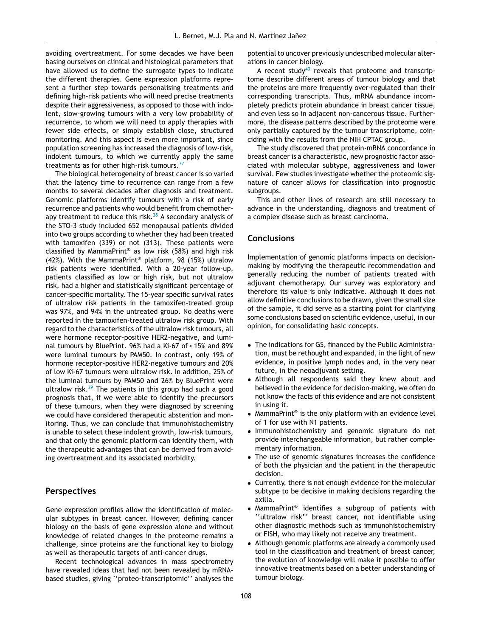avoiding overtreatment. For some decades we have been basing ourselves on clinical and histological parameters that have allowed us to define the surrogate types to indicate the different therapies. Gene expression platforms represent a further step towards personalising treatments and defining high-risk patients who will need precise treatments despite their aggressiveness, as opposed to those with indolent, slow-growing tumours with a very low probability of recurrence, to whom we will need to apply therapies with fewer side effects, or simply establish close, structured monitoring. And this aspect is even more important, since population screening has increased the diagnosis of low-risk, indolent tumours, to which we currently apply the same treatments as for other high-risk tumours. $37$ 

The biological heterogeneity of breast cancer is so varied that the latency time to recurrence can range from a few months to several decades after diagnosis and treatment. Genomic platforms identify tumours with a risk of early recurrence and patients who would benefit from chemotherapy treatment to reduce this risk. $38$  A secondary analysis of the STO-3 study included 652 menopausal patients divided into two groups according to whether they had been treated with tamoxifen (339) or not (313). These patients were classified by MammaPrint® as low risk (58%) and high risk (42%). With the MammaPrint® platform, 98 (15%) ultralow risk patients were identified. With a 20-year follow-up, patients classified as low or high risk, but not ultralow risk, had a higher and statistically significant percentage of cancer-specific mortality. The 15-year specific survival rates of ultralow risk patients in the tamoxifen-treated group was 97%, and 94% in the untreated group. No deaths were reported in the tamoxifen-treated ultralow risk group. With regard to the characteristics of the ultralow risk tumours, all were hormone receptor-positive HER2-negative, and luminal tumours by BluePrint. 96% had a Ki-67 of < 15% and 89% were luminal tumours by PAM50. In contrast, only 19% of hormone receptor-positive HER2-negative tumours and 20% of low Ki-67 tumours were ultralow risk. In addition, 25% of the luminal tumours by PAM50 and 26% by BluePrint were ultralow risk. $39$  The patients in this group had such a good prognosis that, if we were able to identify the precursors of these tumours, when they were diagnosed by screening we could have considered therapeutic abstention and monitoring. Thus, we can conclude that immunohistochemistry is unable to select these indolent growth, low-risk tumours, and that only the genomic platform can identify them, with the therapeutic advantages that can be derived from avoiding overtreatment and its associated morbidity.

## **Perspectives**

Gene expression profiles allow the identification of molecular subtypes in breast cancer. However, defining cancer biology on the basis of gene expression alone and without knowledge of related changes in the proteome remains a challenge, since proteins are the functional key to biology as well as therapeutic targets of anti-cancer drugs.

Recent technological advances in mass spectrometry have revealed ideas that had not been revealed by mRNAbased studies, giving ''proteo-transcriptomic'' analyses the

potential to uncover previously undescribed molecular alterations in cancer biology.

A recent study<sup>[40](#page-10-0)</sup> reveals that proteome and transcriptome describe different areas of tumour biology and that the proteins are more frequently over-regulated than their corresponding transcripts. Thus, mRNA abundance incompletely predicts protein abundance in breast cancer tissue, and even less so in adjacent non-cancerous tissue. Furthermore, the disease patterns described by the proteome were only partially captured by the tumour transcriptome, coinciding with the results from the NIH CPTAC group.

The study discovered that protein-mRNA concordance in breast cancer is a characteristic, new prognostic factor associated with molecular subtype, aggressiveness and lower survival. Few studies investigate whether the proteomic signature of cancer allows for classification into prognostic subgroups.

This and other lines of research are still necessary to advance in the understanding, diagnosis and treatment of a complex disease such as breast carcinoma.

#### **Conclusions**

Implementation of genomic platforms impacts on decisionmaking by modifying the therapeutic recommendation and generally reducing the number of patients treated with adjuvant chemotherapy. Our survey was exploratory and therefore its value is only indicative. Although it does not allow definitive conclusions to be drawn, given the small size of the sample, it did serve as a starting point for clarifying some conclusions based on scientific evidence, useful, in our opinion, for consolidating basic concepts.

- The indications for GS, financed by the Public Administration, must be rethought and expanded, in the light of new evidence, in positive lymph nodes and, in the very near future, in the neoadjuvant setting.
- Although all respondents said they knew about and believed in the evidence for decision-making, we often do not know the facts of this evidence and are not consistent in using it.
- MammaPrint® is the only platform with an evidence level of 1 for use with N1 patients.
- Immunohistochemistry and genomic signature do not provide interchangeable information, but rather complementary information.
- The use of genomic signatures increases the confidence of both the physician and the patient in the therapeutic decision.
- Currently, there is not enough evidence for the molecular subtype to be decisive in making decisions regarding the axilla.
- MammaPrint® identifies a subgroup of patients with ''ultralow risk'' breast cancer, not identifiable using other diagnostic methods such as immunohistochemistry or FISH, who may likely not receive any treatment.
- Although genomic platforms are already a commonly used tool in the classification and treatment of breast cancer, the evolution of knowledge will make it possible to offer innovative treatments based on a better understanding of tumour biology.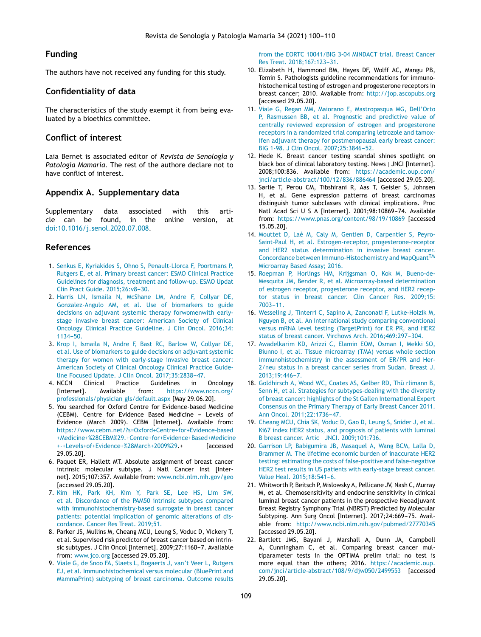## <span id="page-9-0"></span>**Funding**

The authors have not received any funding for this study.

## **Confidentiality of data**

The characteristics of the study exempt it from being evaluated by a bioethics committee.

## **Conflict of interest**

Laia Bernet is associated editor of *Revista de Senología y Patología Mamaria*. The rest of the authore declare not to have conflict of interest.

## **Appendix A. Supplementary data**

Supplementary data associated with this article can be found, in the online version, at [doi:10.1016/j.senol.2020.07.008](http://dx.doi.org/10.1016/j.senol.2020.07.008).

## **References**

- 1. [Senkus](http://refhub.elsevier.com/S0214-1582(20)30114-6/sbref0205) [E,](http://refhub.elsevier.com/S0214-1582(20)30114-6/sbref0205) [Kyriakides](http://refhub.elsevier.com/S0214-1582(20)30114-6/sbref0205) [S,](http://refhub.elsevier.com/S0214-1582(20)30114-6/sbref0205) [Ohno](http://refhub.elsevier.com/S0214-1582(20)30114-6/sbref0205) [S,](http://refhub.elsevier.com/S0214-1582(20)30114-6/sbref0205) [Penault-Llorca](http://refhub.elsevier.com/S0214-1582(20)30114-6/sbref0205) [F,](http://refhub.elsevier.com/S0214-1582(20)30114-6/sbref0205) [Poortmans](http://refhub.elsevier.com/S0214-1582(20)30114-6/sbref0205) [P,](http://refhub.elsevier.com/S0214-1582(20)30114-6/sbref0205) [Rutgers](http://refhub.elsevier.com/S0214-1582(20)30114-6/sbref0205) [E,](http://refhub.elsevier.com/S0214-1582(20)30114-6/sbref0205) [et](http://refhub.elsevier.com/S0214-1582(20)30114-6/sbref0205) [al.](http://refhub.elsevier.com/S0214-1582(20)30114-6/sbref0205) [Primary](http://refhub.elsevier.com/S0214-1582(20)30114-6/sbref0205) [breast](http://refhub.elsevier.com/S0214-1582(20)30114-6/sbref0205) [cancer:](http://refhub.elsevier.com/S0214-1582(20)30114-6/sbref0205) [ESMO](http://refhub.elsevier.com/S0214-1582(20)30114-6/sbref0205) [Clinical](http://refhub.elsevier.com/S0214-1582(20)30114-6/sbref0205) [Practice](http://refhub.elsevier.com/S0214-1582(20)30114-6/sbref0205) [Guidelines](http://refhub.elsevier.com/S0214-1582(20)30114-6/sbref0205) [for](http://refhub.elsevier.com/S0214-1582(20)30114-6/sbref0205) [diagnosis,](http://refhub.elsevier.com/S0214-1582(20)30114-6/sbref0205) [treatment](http://refhub.elsevier.com/S0214-1582(20)30114-6/sbref0205) [and](http://refhub.elsevier.com/S0214-1582(20)30114-6/sbref0205) [follow-up.](http://refhub.elsevier.com/S0214-1582(20)30114-6/sbref0205) [ESMO](http://refhub.elsevier.com/S0214-1582(20)30114-6/sbref0205) [Updat](http://refhub.elsevier.com/S0214-1582(20)30114-6/sbref0205) [Clin](http://refhub.elsevier.com/S0214-1582(20)30114-6/sbref0205) [Pract](http://refhub.elsevier.com/S0214-1582(20)30114-6/sbref0205) [Guide.](http://refhub.elsevier.com/S0214-1582(20)30114-6/sbref0205) 2015;26:v8-30.
- 2. [Harris](http://refhub.elsevier.com/S0214-1582(20)30114-6/sbref0210) [LN,](http://refhub.elsevier.com/S0214-1582(20)30114-6/sbref0210) [Ismaila](http://refhub.elsevier.com/S0214-1582(20)30114-6/sbref0210) [N,](http://refhub.elsevier.com/S0214-1582(20)30114-6/sbref0210) [McShane](http://refhub.elsevier.com/S0214-1582(20)30114-6/sbref0210) [LM,](http://refhub.elsevier.com/S0214-1582(20)30114-6/sbref0210) [Andre](http://refhub.elsevier.com/S0214-1582(20)30114-6/sbref0210) [F,](http://refhub.elsevier.com/S0214-1582(20)30114-6/sbref0210) [Collyar](http://refhub.elsevier.com/S0214-1582(20)30114-6/sbref0210) [DE,](http://refhub.elsevier.com/S0214-1582(20)30114-6/sbref0210) [Gonzalez-Angulo](http://refhub.elsevier.com/S0214-1582(20)30114-6/sbref0210) [AM,](http://refhub.elsevier.com/S0214-1582(20)30114-6/sbref0210) [et](http://refhub.elsevier.com/S0214-1582(20)30114-6/sbref0210) [al.](http://refhub.elsevier.com/S0214-1582(20)30114-6/sbref0210) [Use](http://refhub.elsevier.com/S0214-1582(20)30114-6/sbref0210) [of](http://refhub.elsevier.com/S0214-1582(20)30114-6/sbref0210) [biomarkers](http://refhub.elsevier.com/S0214-1582(20)30114-6/sbref0210) [to](http://refhub.elsevier.com/S0214-1582(20)30114-6/sbref0210) [guide](http://refhub.elsevier.com/S0214-1582(20)30114-6/sbref0210) [decisions](http://refhub.elsevier.com/S0214-1582(20)30114-6/sbref0210) [on](http://refhub.elsevier.com/S0214-1582(20)30114-6/sbref0210) [adjuvant](http://refhub.elsevier.com/S0214-1582(20)30114-6/sbref0210) [systemic](http://refhub.elsevier.com/S0214-1582(20)30114-6/sbref0210) [therapy](http://refhub.elsevier.com/S0214-1582(20)30114-6/sbref0210) [forwomenwith](http://refhub.elsevier.com/S0214-1582(20)30114-6/sbref0210) [early](http://refhub.elsevier.com/S0214-1582(20)30114-6/sbref0210)[stage](http://refhub.elsevier.com/S0214-1582(20)30114-6/sbref0210) [invasive](http://refhub.elsevier.com/S0214-1582(20)30114-6/sbref0210) [breast](http://refhub.elsevier.com/S0214-1582(20)30114-6/sbref0210) [cancer:](http://refhub.elsevier.com/S0214-1582(20)30114-6/sbref0210) [American](http://refhub.elsevier.com/S0214-1582(20)30114-6/sbref0210) [Society](http://refhub.elsevier.com/S0214-1582(20)30114-6/sbref0210) [of](http://refhub.elsevier.com/S0214-1582(20)30114-6/sbref0210) [Clinical](http://refhub.elsevier.com/S0214-1582(20)30114-6/sbref0210) [Oncology](http://refhub.elsevier.com/S0214-1582(20)30114-6/sbref0210) [Clinical](http://refhub.elsevier.com/S0214-1582(20)30114-6/sbref0210) [Practice](http://refhub.elsevier.com/S0214-1582(20)30114-6/sbref0210) [Guideline.](http://refhub.elsevier.com/S0214-1582(20)30114-6/sbref0210) [J](http://refhub.elsevier.com/S0214-1582(20)30114-6/sbref0210) [Clin](http://refhub.elsevier.com/S0214-1582(20)30114-6/sbref0210) [Oncol.](http://refhub.elsevier.com/S0214-1582(20)30114-6/sbref0210) [2016;34:](http://refhub.elsevier.com/S0214-1582(20)30114-6/sbref0210)  $1134 - 50.$
- 3. [Krop](http://refhub.elsevier.com/S0214-1582(20)30114-6/sbref0215) [I,](http://refhub.elsevier.com/S0214-1582(20)30114-6/sbref0215) [Ismaila](http://refhub.elsevier.com/S0214-1582(20)30114-6/sbref0215) [N,](http://refhub.elsevier.com/S0214-1582(20)30114-6/sbref0215) [Andre](http://refhub.elsevier.com/S0214-1582(20)30114-6/sbref0215) [F,](http://refhub.elsevier.com/S0214-1582(20)30114-6/sbref0215) [Bast](http://refhub.elsevier.com/S0214-1582(20)30114-6/sbref0215) [RC,](http://refhub.elsevier.com/S0214-1582(20)30114-6/sbref0215) [Barlow](http://refhub.elsevier.com/S0214-1582(20)30114-6/sbref0215) [W,](http://refhub.elsevier.com/S0214-1582(20)30114-6/sbref0215) [Collyar](http://refhub.elsevier.com/S0214-1582(20)30114-6/sbref0215) [DE,](http://refhub.elsevier.com/S0214-1582(20)30114-6/sbref0215) [et](http://refhub.elsevier.com/S0214-1582(20)30114-6/sbref0215) [al.](http://refhub.elsevier.com/S0214-1582(20)30114-6/sbref0215) [Use](http://refhub.elsevier.com/S0214-1582(20)30114-6/sbref0215) [of](http://refhub.elsevier.com/S0214-1582(20)30114-6/sbref0215) [biomarkers](http://refhub.elsevier.com/S0214-1582(20)30114-6/sbref0215) [to](http://refhub.elsevier.com/S0214-1582(20)30114-6/sbref0215) [guide](http://refhub.elsevier.com/S0214-1582(20)30114-6/sbref0215) [decisions](http://refhub.elsevier.com/S0214-1582(20)30114-6/sbref0215) [on](http://refhub.elsevier.com/S0214-1582(20)30114-6/sbref0215) [adjuvant](http://refhub.elsevier.com/S0214-1582(20)30114-6/sbref0215) [systemic](http://refhub.elsevier.com/S0214-1582(20)30114-6/sbref0215) [therapy](http://refhub.elsevier.com/S0214-1582(20)30114-6/sbref0215) [for](http://refhub.elsevier.com/S0214-1582(20)30114-6/sbref0215) [women](http://refhub.elsevier.com/S0214-1582(20)30114-6/sbref0215) [with](http://refhub.elsevier.com/S0214-1582(20)30114-6/sbref0215) [early-stage](http://refhub.elsevier.com/S0214-1582(20)30114-6/sbref0215) [invasive](http://refhub.elsevier.com/S0214-1582(20)30114-6/sbref0215) [breast](http://refhub.elsevier.com/S0214-1582(20)30114-6/sbref0215) [cancer:](http://refhub.elsevier.com/S0214-1582(20)30114-6/sbref0215) [American](http://refhub.elsevier.com/S0214-1582(20)30114-6/sbref0215) [Society](http://refhub.elsevier.com/S0214-1582(20)30114-6/sbref0215) [of](http://refhub.elsevier.com/S0214-1582(20)30114-6/sbref0215) [Clinical](http://refhub.elsevier.com/S0214-1582(20)30114-6/sbref0215) [Oncology](http://refhub.elsevier.com/S0214-1582(20)30114-6/sbref0215) [Clinical](http://refhub.elsevier.com/S0214-1582(20)30114-6/sbref0215) [Practice](http://refhub.elsevier.com/S0214-1582(20)30114-6/sbref0215) [Guide](http://refhub.elsevier.com/S0214-1582(20)30114-6/sbref0215)[line](http://refhub.elsevier.com/S0214-1582(20)30114-6/sbref0215) [Focused](http://refhub.elsevier.com/S0214-1582(20)30114-6/sbref0215) [Update.](http://refhub.elsevier.com/S0214-1582(20)30114-6/sbref0215) [J](http://refhub.elsevier.com/S0214-1582(20)30114-6/sbref0215) [Clin](http://refhub.elsevier.com/S0214-1582(20)30114-6/sbref0215) [Oncol.](http://refhub.elsevier.com/S0214-1582(20)30114-6/sbref0215) 2017:35:2838[-47.](http://refhub.elsevier.com/S0214-1582(20)30114-6/sbref0215)
- 4. NCCN Clinical Practice Guidelines in Oncology [Internet]. Available from: [https://www.nccn.org/](https://www.nccn.org/professionals/physician_gls/default.aspx) [professionals/physician](https://www.nccn.org/professionals/physician_gls/default.aspx) gls/default.aspx [May 29.06.20].
- 5. You searched for Oxford Centre for Evidence-based Medicine (CEBM). Centre for Evidence Based Medicine - Levels of Evidence (March 2009). CEBM [Internet]. Available from: [https://www.cebm.net/?s=Oxford+Centre+for+Evidence-based](https://www.cebm.net/?s=Oxford+Centre+for+Evidence-based+Medicine+%28CEBM%29.+Centre+for+Evidence+Based+Medicine+-+Levels+of+Evidence+%28March+2009%29) [+Medicine+%28CEBM%29.+Centre+for+Evidence+Based+Medicine](https://www.cebm.net/?s=Oxford+Centre+for+Evidence-based+Medicine+%28CEBM%29.+Centre+for+Evidence+Based+Medicine+-+Levels+of+Evidence+%28March+2009%29) [+-+Levels+of+Evidence+%28March+2009%29](https://www.cebm.net/?s=Oxford+Centre+for+Evidence-based+Medicine+%28CEBM%29.+Centre+for+Evidence+Based+Medicine+-+Levels+of+Evidence+%28March+2009%29).+ [accessed 29.05.20].
- 6. Paquet ER, Hallett MT. Absolute assignment of breast cancer intrinsic molecular subtype. J Natl Cancer Inst [Internet]. 2015;107:357. Available from: [www.ncbi.nlm.nih.gov/geo](http://www.ncbi.nlm.nih.gov/geo) [accessed 29.05.20].
- 7. [Kim](http://refhub.elsevier.com/S0214-1582(20)30114-6/sbref0235) [HK,](http://refhub.elsevier.com/S0214-1582(20)30114-6/sbref0235) [Park](http://refhub.elsevier.com/S0214-1582(20)30114-6/sbref0235) [KH,](http://refhub.elsevier.com/S0214-1582(20)30114-6/sbref0235) [Kim](http://refhub.elsevier.com/S0214-1582(20)30114-6/sbref0235) [Y,](http://refhub.elsevier.com/S0214-1582(20)30114-6/sbref0235) [Park](http://refhub.elsevier.com/S0214-1582(20)30114-6/sbref0235) [SE,](http://refhub.elsevier.com/S0214-1582(20)30114-6/sbref0235) [Lee](http://refhub.elsevier.com/S0214-1582(20)30114-6/sbref0235) [HS,](http://refhub.elsevier.com/S0214-1582(20)30114-6/sbref0235) [Lim](http://refhub.elsevier.com/S0214-1582(20)30114-6/sbref0235) [SW,](http://refhub.elsevier.com/S0214-1582(20)30114-6/sbref0235) [et](http://refhub.elsevier.com/S0214-1582(20)30114-6/sbref0235) [al.](http://refhub.elsevier.com/S0214-1582(20)30114-6/sbref0235) [Discordance](http://refhub.elsevier.com/S0214-1582(20)30114-6/sbref0235) [of](http://refhub.elsevier.com/S0214-1582(20)30114-6/sbref0235) [the](http://refhub.elsevier.com/S0214-1582(20)30114-6/sbref0235) [PAM50](http://refhub.elsevier.com/S0214-1582(20)30114-6/sbref0235) [intrinsic](http://refhub.elsevier.com/S0214-1582(20)30114-6/sbref0235) [subtypes](http://refhub.elsevier.com/S0214-1582(20)30114-6/sbref0235) [compared](http://refhub.elsevier.com/S0214-1582(20)30114-6/sbref0235) [with](http://refhub.elsevier.com/S0214-1582(20)30114-6/sbref0235) [immunohistochemistry-based](http://refhub.elsevier.com/S0214-1582(20)30114-6/sbref0235) [surrogate](http://refhub.elsevier.com/S0214-1582(20)30114-6/sbref0235) [in](http://refhub.elsevier.com/S0214-1582(20)30114-6/sbref0235) [breast](http://refhub.elsevier.com/S0214-1582(20)30114-6/sbref0235) [cancer](http://refhub.elsevier.com/S0214-1582(20)30114-6/sbref0235) [patients:](http://refhub.elsevier.com/S0214-1582(20)30114-6/sbref0235) [potential](http://refhub.elsevier.com/S0214-1582(20)30114-6/sbref0235) [implication](http://refhub.elsevier.com/S0214-1582(20)30114-6/sbref0235) [of](http://refhub.elsevier.com/S0214-1582(20)30114-6/sbref0235) [genomic](http://refhub.elsevier.com/S0214-1582(20)30114-6/sbref0235) [alterations](http://refhub.elsevier.com/S0214-1582(20)30114-6/sbref0235) [of](http://refhub.elsevier.com/S0214-1582(20)30114-6/sbref0235) [dis](http://refhub.elsevier.com/S0214-1582(20)30114-6/sbref0235)[cordance.](http://refhub.elsevier.com/S0214-1582(20)30114-6/sbref0235) [Cancer](http://refhub.elsevier.com/S0214-1582(20)30114-6/sbref0235) [Res](http://refhub.elsevier.com/S0214-1582(20)30114-6/sbref0235) [Treat.](http://refhub.elsevier.com/S0214-1582(20)30114-6/sbref0235) [2019;51.](http://refhub.elsevier.com/S0214-1582(20)30114-6/sbref0235)
- 8. Parker JS, Mullins M, Cheang MCU, Leung S, Voduc D, Vickery T, et al. Supervised risk predictor of breast cancer based on intrinsic subtypes. J Clin Oncol [Internet]. 2009;27:1160-7. Available from: [www.jco.org](http://www.jco.org/) [accessed 29.05.20].
- 9. [Viale](http://refhub.elsevier.com/S0214-1582(20)30114-6/sbref0245) [G,](http://refhub.elsevier.com/S0214-1582(20)30114-6/sbref0245) [de](http://refhub.elsevier.com/S0214-1582(20)30114-6/sbref0245) [Snoo](http://refhub.elsevier.com/S0214-1582(20)30114-6/sbref0245) [FA,](http://refhub.elsevier.com/S0214-1582(20)30114-6/sbref0245) [Slaets](http://refhub.elsevier.com/S0214-1582(20)30114-6/sbref0245) [L,](http://refhub.elsevier.com/S0214-1582(20)30114-6/sbref0245) [Bogaerts](http://refhub.elsevier.com/S0214-1582(20)30114-6/sbref0245) [J,](http://refhub.elsevier.com/S0214-1582(20)30114-6/sbref0245) [van't](http://refhub.elsevier.com/S0214-1582(20)30114-6/sbref0245) [Veer](http://refhub.elsevier.com/S0214-1582(20)30114-6/sbref0245) [L,](http://refhub.elsevier.com/S0214-1582(20)30114-6/sbref0245) [Rutgers](http://refhub.elsevier.com/S0214-1582(20)30114-6/sbref0245) [EJ,](http://refhub.elsevier.com/S0214-1582(20)30114-6/sbref0245) [et](http://refhub.elsevier.com/S0214-1582(20)30114-6/sbref0245) [al.](http://refhub.elsevier.com/S0214-1582(20)30114-6/sbref0245) [Immunohistochemical](http://refhub.elsevier.com/S0214-1582(20)30114-6/sbref0245) [versus](http://refhub.elsevier.com/S0214-1582(20)30114-6/sbref0245) [molecular](http://refhub.elsevier.com/S0214-1582(20)30114-6/sbref0245) [\(BluePrint](http://refhub.elsevier.com/S0214-1582(20)30114-6/sbref0245) [and](http://refhub.elsevier.com/S0214-1582(20)30114-6/sbref0245) [MammaPrint\)](http://refhub.elsevier.com/S0214-1582(20)30114-6/sbref0245) [subtyping](http://refhub.elsevier.com/S0214-1582(20)30114-6/sbref0245) [of](http://refhub.elsevier.com/S0214-1582(20)30114-6/sbref0245) [breast](http://refhub.elsevier.com/S0214-1582(20)30114-6/sbref0245) [carcinoma.](http://refhub.elsevier.com/S0214-1582(20)30114-6/sbref0245) [Outcome](http://refhub.elsevier.com/S0214-1582(20)30114-6/sbref0245) [results](http://refhub.elsevier.com/S0214-1582(20)30114-6/sbref0245)

[from](http://refhub.elsevier.com/S0214-1582(20)30114-6/sbref0245) [the](http://refhub.elsevier.com/S0214-1582(20)30114-6/sbref0245) [EORTC](http://refhub.elsevier.com/S0214-1582(20)30114-6/sbref0245) [10041/BIG](http://refhub.elsevier.com/S0214-1582(20)30114-6/sbref0245) [3-04](http://refhub.elsevier.com/S0214-1582(20)30114-6/sbref0245) [MINDACT](http://refhub.elsevier.com/S0214-1582(20)30114-6/sbref0245) [trial.](http://refhub.elsevier.com/S0214-1582(20)30114-6/sbref0245) [Breast](http://refhub.elsevier.com/S0214-1582(20)30114-6/sbref0245) [Cancer](http://refhub.elsevier.com/S0214-1582(20)30114-6/sbref0245) [Res](http://refhub.elsevier.com/S0214-1582(20)30114-6/sbref0245) [Treat.](http://refhub.elsevier.com/S0214-1582(20)30114-6/sbref0245) 2018;167:123-31.

- 10. Elizabeth H, Hammond BM, Hayes DF, Wolff AC, Mangu PB, Temin S. Pathologists guideline recommendations for immunohistochemical testing of estrogen and progesterone receptors in breast cancer; 2010. Available from: [http://jop.ascopubs.org](http://jop.ascopubs.org/) [accessed 29.05.20].
- 11. [Viale](http://refhub.elsevier.com/S0214-1582(20)30114-6/sbref0255) [G,](http://refhub.elsevier.com/S0214-1582(20)30114-6/sbref0255) [Regan](http://refhub.elsevier.com/S0214-1582(20)30114-6/sbref0255) [MM,](http://refhub.elsevier.com/S0214-1582(20)30114-6/sbref0255) [Maiorano](http://refhub.elsevier.com/S0214-1582(20)30114-6/sbref0255) [E,](http://refhub.elsevier.com/S0214-1582(20)30114-6/sbref0255) [Mastropasqua](http://refhub.elsevier.com/S0214-1582(20)30114-6/sbref0255) [MG,](http://refhub.elsevier.com/S0214-1582(20)30114-6/sbref0255) [Dell'Orto](http://refhub.elsevier.com/S0214-1582(20)30114-6/sbref0255) [P,](http://refhub.elsevier.com/S0214-1582(20)30114-6/sbref0255) [Rasmussen](http://refhub.elsevier.com/S0214-1582(20)30114-6/sbref0255) [BB,](http://refhub.elsevier.com/S0214-1582(20)30114-6/sbref0255) [et](http://refhub.elsevier.com/S0214-1582(20)30114-6/sbref0255) [al.](http://refhub.elsevier.com/S0214-1582(20)30114-6/sbref0255) [Prognostic](http://refhub.elsevier.com/S0214-1582(20)30114-6/sbref0255) [and](http://refhub.elsevier.com/S0214-1582(20)30114-6/sbref0255) [predictive](http://refhub.elsevier.com/S0214-1582(20)30114-6/sbref0255) [value](http://refhub.elsevier.com/S0214-1582(20)30114-6/sbref0255) [of](http://refhub.elsevier.com/S0214-1582(20)30114-6/sbref0255) [centrally](http://refhub.elsevier.com/S0214-1582(20)30114-6/sbref0255) [reviewed](http://refhub.elsevier.com/S0214-1582(20)30114-6/sbref0255) [expression](http://refhub.elsevier.com/S0214-1582(20)30114-6/sbref0255) [of](http://refhub.elsevier.com/S0214-1582(20)30114-6/sbref0255) [estrogen](http://refhub.elsevier.com/S0214-1582(20)30114-6/sbref0255) [and](http://refhub.elsevier.com/S0214-1582(20)30114-6/sbref0255) [progesterone](http://refhub.elsevier.com/S0214-1582(20)30114-6/sbref0255) [receptors](http://refhub.elsevier.com/S0214-1582(20)30114-6/sbref0255) [in](http://refhub.elsevier.com/S0214-1582(20)30114-6/sbref0255) [a](http://refhub.elsevier.com/S0214-1582(20)30114-6/sbref0255) [randomized](http://refhub.elsevier.com/S0214-1582(20)30114-6/sbref0255) [trial](http://refhub.elsevier.com/S0214-1582(20)30114-6/sbref0255) [comparing](http://refhub.elsevier.com/S0214-1582(20)30114-6/sbref0255) [letrozole](http://refhub.elsevier.com/S0214-1582(20)30114-6/sbref0255) [and](http://refhub.elsevier.com/S0214-1582(20)30114-6/sbref0255) [tamox](http://refhub.elsevier.com/S0214-1582(20)30114-6/sbref0255)[ifen](http://refhub.elsevier.com/S0214-1582(20)30114-6/sbref0255) [adjuvant](http://refhub.elsevier.com/S0214-1582(20)30114-6/sbref0255) [therapy](http://refhub.elsevier.com/S0214-1582(20)30114-6/sbref0255) [for](http://refhub.elsevier.com/S0214-1582(20)30114-6/sbref0255) [postmenopausal](http://refhub.elsevier.com/S0214-1582(20)30114-6/sbref0255) [early](http://refhub.elsevier.com/S0214-1582(20)30114-6/sbref0255) [breast](http://refhub.elsevier.com/S0214-1582(20)30114-6/sbref0255) [cancer:](http://refhub.elsevier.com/S0214-1582(20)30114-6/sbref0255) [BIG](http://refhub.elsevier.com/S0214-1582(20)30114-6/sbref0255) [1-98.](http://refhub.elsevier.com/S0214-1582(20)30114-6/sbref0255) [J](http://refhub.elsevier.com/S0214-1582(20)30114-6/sbref0255) [Clin](http://refhub.elsevier.com/S0214-1582(20)30114-6/sbref0255) [Oncol.](http://refhub.elsevier.com/S0214-1582(20)30114-6/sbref0255) [2007;25:3846-](http://refhub.elsevier.com/S0214-1582(20)30114-6/sbref0255)[52.](http://refhub.elsevier.com/S0214-1582(20)30114-6/sbref0255)
- 12. Hede K. Breast cancer testing scandal shines spotlight on black box of clinical laboratory testing. News | JNCI [Internet]. 2008;100:836. Available from: [https://academic.oup.com/](https://academic.oup.com/jnci/article-abstract/100/12/836/886464) [jnci/article-abstract/100/12/836/886464](https://academic.oup.com/jnci/article-abstract/100/12/836/886464) [accessed 29.05.20].
- 13. Sørlie T, Perou CM, Tibshirani R, Aas T, Geisler S, Johnsen H, et al. Gene expression patterns of breast carcinomas distinguish tumor subclasses with clinical implications. Proc Natl Acad Sci U S A [Internet]. 2001;98:10869-74. Available from: <https://www.pnas.org/content/98/19/10869> [accessed 15.05.20].
- 14. [Mouttet](http://refhub.elsevier.com/S0214-1582(20)30114-6/sbref0270) [D,](http://refhub.elsevier.com/S0214-1582(20)30114-6/sbref0270) [Laé](http://refhub.elsevier.com/S0214-1582(20)30114-6/sbref0270) [M,](http://refhub.elsevier.com/S0214-1582(20)30114-6/sbref0270) [Caly](http://refhub.elsevier.com/S0214-1582(20)30114-6/sbref0270) [M,](http://refhub.elsevier.com/S0214-1582(20)30114-6/sbref0270) [Gentien](http://refhub.elsevier.com/S0214-1582(20)30114-6/sbref0270) [D,](http://refhub.elsevier.com/S0214-1582(20)30114-6/sbref0270) [Carpentier](http://refhub.elsevier.com/S0214-1582(20)30114-6/sbref0270) [S,](http://refhub.elsevier.com/S0214-1582(20)30114-6/sbref0270) [Peyro-](http://refhub.elsevier.com/S0214-1582(20)30114-6/sbref0270)[Saint-Paul](http://refhub.elsevier.com/S0214-1582(20)30114-6/sbref0270) [H,](http://refhub.elsevier.com/S0214-1582(20)30114-6/sbref0270) [et](http://refhub.elsevier.com/S0214-1582(20)30114-6/sbref0270) [al.](http://refhub.elsevier.com/S0214-1582(20)30114-6/sbref0270) [Estrogen-receptor,](http://refhub.elsevier.com/S0214-1582(20)30114-6/sbref0270) [progesterone-receptor](http://refhub.elsevier.com/S0214-1582(20)30114-6/sbref0270) [and](http://refhub.elsevier.com/S0214-1582(20)30114-6/sbref0270) [HER2](http://refhub.elsevier.com/S0214-1582(20)30114-6/sbref0270) [status](http://refhub.elsevier.com/S0214-1582(20)30114-6/sbref0270) [determination](http://refhub.elsevier.com/S0214-1582(20)30114-6/sbref0270) [in](http://refhub.elsevier.com/S0214-1582(20)30114-6/sbref0270) [invasive](http://refhub.elsevier.com/S0214-1582(20)30114-6/sbref0270) [breast](http://refhub.elsevier.com/S0214-1582(20)30114-6/sbref0270) [cancer.](http://refhub.elsevier.com/S0214-1582(20)30114-6/sbref0270) [Concordance](http://refhub.elsevier.com/S0214-1582(20)30114-6/sbref0270) [between](http://refhub.elsevier.com/S0214-1582(20)30114-6/sbref0270) [Immuno-Histochemistry](http://refhub.elsevier.com/S0214-1582(20)30114-6/sbref0270) [and](http://refhub.elsevier.com/S0214-1582(20)30114-6/sbref0270) [MapQuant](http://refhub.elsevier.com/S0214-1582(20)30114-6/sbref0270)<sup>™</sup> [Microarray](http://refhub.elsevier.com/S0214-1582(20)30114-6/sbref0270) [Based](http://refhub.elsevier.com/S0214-1582(20)30114-6/sbref0270) [Assay;](http://refhub.elsevier.com/S0214-1582(20)30114-6/sbref0270) [2016.](http://refhub.elsevier.com/S0214-1582(20)30114-6/sbref0270)
- 15. [Roepman](http://refhub.elsevier.com/S0214-1582(20)30114-6/sbref0275) [P,](http://refhub.elsevier.com/S0214-1582(20)30114-6/sbref0275) [Horlings](http://refhub.elsevier.com/S0214-1582(20)30114-6/sbref0275) [HM,](http://refhub.elsevier.com/S0214-1582(20)30114-6/sbref0275) [Krijgsman](http://refhub.elsevier.com/S0214-1582(20)30114-6/sbref0275) [O,](http://refhub.elsevier.com/S0214-1582(20)30114-6/sbref0275) [Kok](http://refhub.elsevier.com/S0214-1582(20)30114-6/sbref0275) [M,](http://refhub.elsevier.com/S0214-1582(20)30114-6/sbref0275) [Bueno-de-](http://refhub.elsevier.com/S0214-1582(20)30114-6/sbref0275)[Mesquita](http://refhub.elsevier.com/S0214-1582(20)30114-6/sbref0275) [JM,](http://refhub.elsevier.com/S0214-1582(20)30114-6/sbref0275) [Bender](http://refhub.elsevier.com/S0214-1582(20)30114-6/sbref0275) [R,](http://refhub.elsevier.com/S0214-1582(20)30114-6/sbref0275) [et](http://refhub.elsevier.com/S0214-1582(20)30114-6/sbref0275) [al.](http://refhub.elsevier.com/S0214-1582(20)30114-6/sbref0275) [Microarray-based](http://refhub.elsevier.com/S0214-1582(20)30114-6/sbref0275) [determination](http://refhub.elsevier.com/S0214-1582(20)30114-6/sbref0275) [of](http://refhub.elsevier.com/S0214-1582(20)30114-6/sbref0275) [estrogen](http://refhub.elsevier.com/S0214-1582(20)30114-6/sbref0275) [receptor,](http://refhub.elsevier.com/S0214-1582(20)30114-6/sbref0275) [progesterone](http://refhub.elsevier.com/S0214-1582(20)30114-6/sbref0275) [receptor,](http://refhub.elsevier.com/S0214-1582(20)30114-6/sbref0275) [and](http://refhub.elsevier.com/S0214-1582(20)30114-6/sbref0275) [HER2](http://refhub.elsevier.com/S0214-1582(20)30114-6/sbref0275) [recep](http://refhub.elsevier.com/S0214-1582(20)30114-6/sbref0275)[tor](http://refhub.elsevier.com/S0214-1582(20)30114-6/sbref0275) [status](http://refhub.elsevier.com/S0214-1582(20)30114-6/sbref0275) [in](http://refhub.elsevier.com/S0214-1582(20)30114-6/sbref0275) [breast](http://refhub.elsevier.com/S0214-1582(20)30114-6/sbref0275) [cancer.](http://refhub.elsevier.com/S0214-1582(20)30114-6/sbref0275) [Clin](http://refhub.elsevier.com/S0214-1582(20)30114-6/sbref0275) [Cancer](http://refhub.elsevier.com/S0214-1582(20)30114-6/sbref0275) [Res.](http://refhub.elsevier.com/S0214-1582(20)30114-6/sbref0275) [2009;15:](http://refhub.elsevier.com/S0214-1582(20)30114-6/sbref0275)  $7003 - 11$
- 16. [Wesseling](http://refhub.elsevier.com/S0214-1582(20)30114-6/sbref0280) [J,](http://refhub.elsevier.com/S0214-1582(20)30114-6/sbref0280) [Tinterri](http://refhub.elsevier.com/S0214-1582(20)30114-6/sbref0280) [C,](http://refhub.elsevier.com/S0214-1582(20)30114-6/sbref0280) [Sapino](http://refhub.elsevier.com/S0214-1582(20)30114-6/sbref0280) [A,](http://refhub.elsevier.com/S0214-1582(20)30114-6/sbref0280) [Zanconati](http://refhub.elsevier.com/S0214-1582(20)30114-6/sbref0280) [F,](http://refhub.elsevier.com/S0214-1582(20)30114-6/sbref0280) [Lutke-Holzik](http://refhub.elsevier.com/S0214-1582(20)30114-6/sbref0280) [M,](http://refhub.elsevier.com/S0214-1582(20)30114-6/sbref0280) [Nguyen](http://refhub.elsevier.com/S0214-1582(20)30114-6/sbref0280) [B,](http://refhub.elsevier.com/S0214-1582(20)30114-6/sbref0280) [et](http://refhub.elsevier.com/S0214-1582(20)30114-6/sbref0280) [al.](http://refhub.elsevier.com/S0214-1582(20)30114-6/sbref0280) [An](http://refhub.elsevier.com/S0214-1582(20)30114-6/sbref0280) [international](http://refhub.elsevier.com/S0214-1582(20)30114-6/sbref0280) [study](http://refhub.elsevier.com/S0214-1582(20)30114-6/sbref0280) [comparing](http://refhub.elsevier.com/S0214-1582(20)30114-6/sbref0280) [conventional](http://refhub.elsevier.com/S0214-1582(20)30114-6/sbref0280) [versus](http://refhub.elsevier.com/S0214-1582(20)30114-6/sbref0280) [mRNA](http://refhub.elsevier.com/S0214-1582(20)30114-6/sbref0280) [level](http://refhub.elsevier.com/S0214-1582(20)30114-6/sbref0280) [testing](http://refhub.elsevier.com/S0214-1582(20)30114-6/sbref0280) [\(TargetPrint\)](http://refhub.elsevier.com/S0214-1582(20)30114-6/sbref0280) [for](http://refhub.elsevier.com/S0214-1582(20)30114-6/sbref0280) [ER](http://refhub.elsevier.com/S0214-1582(20)30114-6/sbref0280) [PR,](http://refhub.elsevier.com/S0214-1582(20)30114-6/sbref0280) [and](http://refhub.elsevier.com/S0214-1582(20)30114-6/sbref0280) [HER2](http://refhub.elsevier.com/S0214-1582(20)30114-6/sbref0280) [status](http://refhub.elsevier.com/S0214-1582(20)30114-6/sbref0280) [of](http://refhub.elsevier.com/S0214-1582(20)30114-6/sbref0280) [breast](http://refhub.elsevier.com/S0214-1582(20)30114-6/sbref0280) [cancer.](http://refhub.elsevier.com/S0214-1582(20)30114-6/sbref0280) [Virchows](http://refhub.elsevier.com/S0214-1582(20)30114-6/sbref0280) [Arch.](http://refhub.elsevier.com/S0214-1582(20)30114-6/sbref0280) 2016;469:297-304.
- 17. [Awadelkarim](http://refhub.elsevier.com/S0214-1582(20)30114-6/sbref0285) [KD,](http://refhub.elsevier.com/S0214-1582(20)30114-6/sbref0285) [Arizzi](http://refhub.elsevier.com/S0214-1582(20)30114-6/sbref0285) [C,](http://refhub.elsevier.com/S0214-1582(20)30114-6/sbref0285) [Elamin](http://refhub.elsevier.com/S0214-1582(20)30114-6/sbref0285) [EOM,](http://refhub.elsevier.com/S0214-1582(20)30114-6/sbref0285) [Osman](http://refhub.elsevier.com/S0214-1582(20)30114-6/sbref0285) [I,](http://refhub.elsevier.com/S0214-1582(20)30114-6/sbref0285) [Mekki](http://refhub.elsevier.com/S0214-1582(20)30114-6/sbref0285) [SO,](http://refhub.elsevier.com/S0214-1582(20)30114-6/sbref0285) [Biunno](http://refhub.elsevier.com/S0214-1582(20)30114-6/sbref0285) [I,](http://refhub.elsevier.com/S0214-1582(20)30114-6/sbref0285) [et](http://refhub.elsevier.com/S0214-1582(20)30114-6/sbref0285) [al.](http://refhub.elsevier.com/S0214-1582(20)30114-6/sbref0285) [Tissue](http://refhub.elsevier.com/S0214-1582(20)30114-6/sbref0285) [microarray](http://refhub.elsevier.com/S0214-1582(20)30114-6/sbref0285) [\(TMA\)](http://refhub.elsevier.com/S0214-1582(20)30114-6/sbref0285) [versus](http://refhub.elsevier.com/S0214-1582(20)30114-6/sbref0285) [whole](http://refhub.elsevier.com/S0214-1582(20)30114-6/sbref0285) [section](http://refhub.elsevier.com/S0214-1582(20)30114-6/sbref0285) [immunohistochemistry](http://refhub.elsevier.com/S0214-1582(20)30114-6/sbref0285) [in](http://refhub.elsevier.com/S0214-1582(20)30114-6/sbref0285) [the](http://refhub.elsevier.com/S0214-1582(20)30114-6/sbref0285) [assessment](http://refhub.elsevier.com/S0214-1582(20)30114-6/sbref0285) [of](http://refhub.elsevier.com/S0214-1582(20)30114-6/sbref0285) [ER/PR](http://refhub.elsevier.com/S0214-1582(20)30114-6/sbref0285) [and](http://refhub.elsevier.com/S0214-1582(20)30114-6/sbref0285) [Her-](http://refhub.elsevier.com/S0214-1582(20)30114-6/sbref0285)[2/neu](http://refhub.elsevier.com/S0214-1582(20)30114-6/sbref0285) [status](http://refhub.elsevier.com/S0214-1582(20)30114-6/sbref0285) [in](http://refhub.elsevier.com/S0214-1582(20)30114-6/sbref0285) [a](http://refhub.elsevier.com/S0214-1582(20)30114-6/sbref0285) [breast](http://refhub.elsevier.com/S0214-1582(20)30114-6/sbref0285) [cancer](http://refhub.elsevier.com/S0214-1582(20)30114-6/sbref0285) [series](http://refhub.elsevier.com/S0214-1582(20)30114-6/sbref0285) [from](http://refhub.elsevier.com/S0214-1582(20)30114-6/sbref0285) [Sudan.](http://refhub.elsevier.com/S0214-1582(20)30114-6/sbref0285) [Breast](http://refhub.elsevier.com/S0214-1582(20)30114-6/sbref0285) [J.](http://refhub.elsevier.com/S0214-1582(20)30114-6/sbref0285) [2013;19:446](http://refhub.elsevier.com/S0214-1582(20)30114-6/sbref0285)-[7.](http://refhub.elsevier.com/S0214-1582(20)30114-6/sbref0285)
- 18. [Goldhirsch](http://refhub.elsevier.com/S0214-1582(20)30114-6/sbref0290) [A,](http://refhub.elsevier.com/S0214-1582(20)30114-6/sbref0290) [Wood](http://refhub.elsevier.com/S0214-1582(20)30114-6/sbref0290) [WC,](http://refhub.elsevier.com/S0214-1582(20)30114-6/sbref0290) [Coates](http://refhub.elsevier.com/S0214-1582(20)30114-6/sbref0290) [AS,](http://refhub.elsevier.com/S0214-1582(20)30114-6/sbref0290) [Gelber](http://refhub.elsevier.com/S0214-1582(20)30114-6/sbref0290) [RD,](http://refhub.elsevier.com/S0214-1582(20)30114-6/sbref0290) [Thü](http://refhub.elsevier.com/S0214-1582(20)30114-6/sbref0290) [rlimann](http://refhub.elsevier.com/S0214-1582(20)30114-6/sbref0290) [B,](http://refhub.elsevier.com/S0214-1582(20)30114-6/sbref0290) [Senn](http://refhub.elsevier.com/S0214-1582(20)30114-6/sbref0290) [H,](http://refhub.elsevier.com/S0214-1582(20)30114-6/sbref0290) [et](http://refhub.elsevier.com/S0214-1582(20)30114-6/sbref0290) [al.](http://refhub.elsevier.com/S0214-1582(20)30114-6/sbref0290) [Strategies](http://refhub.elsevier.com/S0214-1582(20)30114-6/sbref0290) [for](http://refhub.elsevier.com/S0214-1582(20)30114-6/sbref0290) [subtypes-dealing](http://refhub.elsevier.com/S0214-1582(20)30114-6/sbref0290) [with](http://refhub.elsevier.com/S0214-1582(20)30114-6/sbref0290) [the](http://refhub.elsevier.com/S0214-1582(20)30114-6/sbref0290) [diversity](http://refhub.elsevier.com/S0214-1582(20)30114-6/sbref0290) [of](http://refhub.elsevier.com/S0214-1582(20)30114-6/sbref0290) [breast](http://refhub.elsevier.com/S0214-1582(20)30114-6/sbref0290) [cancer:](http://refhub.elsevier.com/S0214-1582(20)30114-6/sbref0290) [highlights](http://refhub.elsevier.com/S0214-1582(20)30114-6/sbref0290) [of](http://refhub.elsevier.com/S0214-1582(20)30114-6/sbref0290) [the](http://refhub.elsevier.com/S0214-1582(20)30114-6/sbref0290) [St](http://refhub.elsevier.com/S0214-1582(20)30114-6/sbref0290) [Gallen](http://refhub.elsevier.com/S0214-1582(20)30114-6/sbref0290) [International](http://refhub.elsevier.com/S0214-1582(20)30114-6/sbref0290) [Expert](http://refhub.elsevier.com/S0214-1582(20)30114-6/sbref0290) [Consensus](http://refhub.elsevier.com/S0214-1582(20)30114-6/sbref0290) [on](http://refhub.elsevier.com/S0214-1582(20)30114-6/sbref0290) [the](http://refhub.elsevier.com/S0214-1582(20)30114-6/sbref0290) [Primary](http://refhub.elsevier.com/S0214-1582(20)30114-6/sbref0290) [Therapy](http://refhub.elsevier.com/S0214-1582(20)30114-6/sbref0290) [of](http://refhub.elsevier.com/S0214-1582(20)30114-6/sbref0290) [Early](http://refhub.elsevier.com/S0214-1582(20)30114-6/sbref0290) [Breast](http://refhub.elsevier.com/S0214-1582(20)30114-6/sbref0290) [Cancer](http://refhub.elsevier.com/S0214-1582(20)30114-6/sbref0290) [2011.](http://refhub.elsevier.com/S0214-1582(20)30114-6/sbref0290) [Ann](http://refhub.elsevier.com/S0214-1582(20)30114-6/sbref0290) [Oncol.](http://refhub.elsevier.com/S0214-1582(20)30114-6/sbref0290) 2011;22:1736-47.
- 19. [Cheang](http://refhub.elsevier.com/S0214-1582(20)30114-6/sbref0295) [MCU,](http://refhub.elsevier.com/S0214-1582(20)30114-6/sbref0295) [Chia](http://refhub.elsevier.com/S0214-1582(20)30114-6/sbref0295) [SK,](http://refhub.elsevier.com/S0214-1582(20)30114-6/sbref0295) [Voduc](http://refhub.elsevier.com/S0214-1582(20)30114-6/sbref0295) [D,](http://refhub.elsevier.com/S0214-1582(20)30114-6/sbref0295) [Gao](http://refhub.elsevier.com/S0214-1582(20)30114-6/sbref0295) [D,](http://refhub.elsevier.com/S0214-1582(20)30114-6/sbref0295) [Leung](http://refhub.elsevier.com/S0214-1582(20)30114-6/sbref0295) [S,](http://refhub.elsevier.com/S0214-1582(20)30114-6/sbref0295) [Snider](http://refhub.elsevier.com/S0214-1582(20)30114-6/sbref0295) [J,](http://refhub.elsevier.com/S0214-1582(20)30114-6/sbref0295) [et](http://refhub.elsevier.com/S0214-1582(20)30114-6/sbref0295) [al.](http://refhub.elsevier.com/S0214-1582(20)30114-6/sbref0295) [Ki67](http://refhub.elsevier.com/S0214-1582(20)30114-6/sbref0295) [index](http://refhub.elsevier.com/S0214-1582(20)30114-6/sbref0295) [HER2](http://refhub.elsevier.com/S0214-1582(20)30114-6/sbref0295) [status,](http://refhub.elsevier.com/S0214-1582(20)30114-6/sbref0295) [and](http://refhub.elsevier.com/S0214-1582(20)30114-6/sbref0295) [prognosis](http://refhub.elsevier.com/S0214-1582(20)30114-6/sbref0295) [of](http://refhub.elsevier.com/S0214-1582(20)30114-6/sbref0295) [patients](http://refhub.elsevier.com/S0214-1582(20)30114-6/sbref0295) [with](http://refhub.elsevier.com/S0214-1582(20)30114-6/sbref0295) [luminal](http://refhub.elsevier.com/S0214-1582(20)30114-6/sbref0295) [B](http://refhub.elsevier.com/S0214-1582(20)30114-6/sbref0295) [breast](http://refhub.elsevier.com/S0214-1582(20)30114-6/sbref0295) [cancer.](http://refhub.elsevier.com/S0214-1582(20)30114-6/sbref0295) [Artic](http://refhub.elsevier.com/S0214-1582(20)30114-6/sbref0295) [|](http://refhub.elsevier.com/S0214-1582(20)30114-6/sbref0295) [JNCI.](http://refhub.elsevier.com/S0214-1582(20)30114-6/sbref0295) [2009;101:736.](http://refhub.elsevier.com/S0214-1582(20)30114-6/sbref0295)
- 20. [Garrison](http://refhub.elsevier.com/S0214-1582(20)30114-6/sbref0300) [LP,](http://refhub.elsevier.com/S0214-1582(20)30114-6/sbref0300) [Babigumira](http://refhub.elsevier.com/S0214-1582(20)30114-6/sbref0300) [JB,](http://refhub.elsevier.com/S0214-1582(20)30114-6/sbref0300) [Masaquel](http://refhub.elsevier.com/S0214-1582(20)30114-6/sbref0300) [A,](http://refhub.elsevier.com/S0214-1582(20)30114-6/sbref0300) [Wang](http://refhub.elsevier.com/S0214-1582(20)30114-6/sbref0300) [BCM,](http://refhub.elsevier.com/S0214-1582(20)30114-6/sbref0300) [Lalla](http://refhub.elsevier.com/S0214-1582(20)30114-6/sbref0300) [D,](http://refhub.elsevier.com/S0214-1582(20)30114-6/sbref0300) [Brammer](http://refhub.elsevier.com/S0214-1582(20)30114-6/sbref0300) [M.](http://refhub.elsevier.com/S0214-1582(20)30114-6/sbref0300) [The](http://refhub.elsevier.com/S0214-1582(20)30114-6/sbref0300) [lifetime](http://refhub.elsevier.com/S0214-1582(20)30114-6/sbref0300) [economic](http://refhub.elsevier.com/S0214-1582(20)30114-6/sbref0300) [burden](http://refhub.elsevier.com/S0214-1582(20)30114-6/sbref0300) [of](http://refhub.elsevier.com/S0214-1582(20)30114-6/sbref0300) [inaccurate](http://refhub.elsevier.com/S0214-1582(20)30114-6/sbref0300) [HER2](http://refhub.elsevier.com/S0214-1582(20)30114-6/sbref0300) [testing:](http://refhub.elsevier.com/S0214-1582(20)30114-6/sbref0300) [estimating](http://refhub.elsevier.com/S0214-1582(20)30114-6/sbref0300) [the](http://refhub.elsevier.com/S0214-1582(20)30114-6/sbref0300) [costs](http://refhub.elsevier.com/S0214-1582(20)30114-6/sbref0300) [of](http://refhub.elsevier.com/S0214-1582(20)30114-6/sbref0300) [false-positive](http://refhub.elsevier.com/S0214-1582(20)30114-6/sbref0300) [and](http://refhub.elsevier.com/S0214-1582(20)30114-6/sbref0300) [false-negative](http://refhub.elsevier.com/S0214-1582(20)30114-6/sbref0300) [HER2](http://refhub.elsevier.com/S0214-1582(20)30114-6/sbref0300) [test](http://refhub.elsevier.com/S0214-1582(20)30114-6/sbref0300) [results](http://refhub.elsevier.com/S0214-1582(20)30114-6/sbref0300) [in](http://refhub.elsevier.com/S0214-1582(20)30114-6/sbref0300) [US](http://refhub.elsevier.com/S0214-1582(20)30114-6/sbref0300) [patients](http://refhub.elsevier.com/S0214-1582(20)30114-6/sbref0300) [with](http://refhub.elsevier.com/S0214-1582(20)30114-6/sbref0300) [early-stage](http://refhub.elsevier.com/S0214-1582(20)30114-6/sbref0300) [breast](http://refhub.elsevier.com/S0214-1582(20)30114-6/sbref0300) [cancer.](http://refhub.elsevier.com/S0214-1582(20)30114-6/sbref0300) [Value](http://refhub.elsevier.com/S0214-1582(20)30114-6/sbref0300) [Heal.](http://refhub.elsevier.com/S0214-1582(20)30114-6/sbref0300) 2015;18:541-6.
- 21. Whitworth P, Beitsch P, Mislowsky A, Pellicane JV, Nash C, Murray M, et al. Chemosensitivity and endocrine sensitivity in clinical luminal breast cancer patients in the prospective Neoadjuvant Breast Registry Symphony Trial (NBRST) Predicted by Molecular Subtyping. Ann Surg Oncol [Internet]. 2017;24:669-75. Available from: <http://www.ncbi.nlm.nih.gov/pubmed/27770345> [accessed 29.05.20].
- 22. Bartlett JMS, Bayani J, Marshall A, Dunn JA, Campbell A, Cunningham C, et al. Comparing breast cancer multiparameter tests in the OPTIMA prelim trial: no test is more equal than the others; 2016. [https://academic.oup.](https://academic.oup.com/jnci/article-abstract/108/9/djw050/2499553) [com/jnci/article-abstract/108/9/djw050/2499553](https://academic.oup.com/jnci/article-abstract/108/9/djw050/2499553) [accessed 29.05.20].